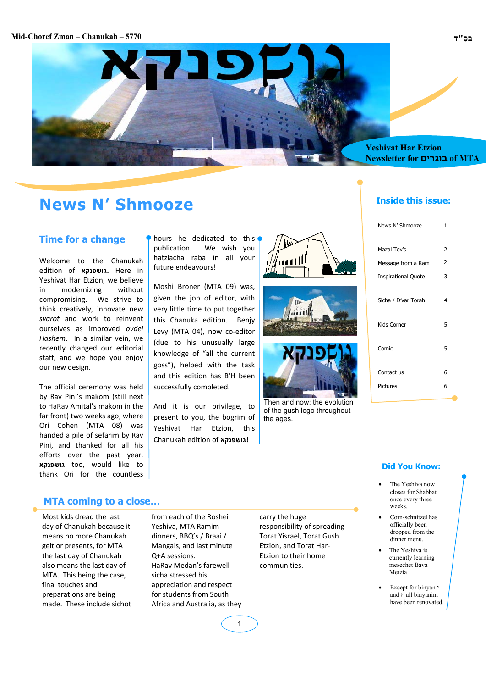#### **Mid-Choref Zman – Chanukah – 5770 ד"בס**



## **News N' Shmooze**

#### **Time for a change**

Welcome to the Chanukah edition of **גושפנקא.** Here in Yeshivat Har Etzion, we believe in modernizing without compromising. We strive to think creatively, innovate new *svarot* and work to reinvent ourselves as improved *ovdei Hashem*. In a similar vein, we recently changed our editorial staff, and we hope you enjoy our new design.

The official ceremony was held by Rav Pini's makom (still next to HaRav Amital's makom in the far front) two weeks ago, where Ori Cohen (MTA 08) was handed a pile of sefarim by Rav Pini, and thanked for all his efforts over the past year. **גושפנקא** too, would like to thank Ori for the countless hours he dedicated to this publication. We wish you hatzlacha raba in all your future endeavours!

Moshi Broner (MTA 09) was, given the job of editor, with very little time to put together this Chanuka edition. Benjy Levy (MTA 04), now co-editor (due to his unusually large knowledge of "all the current goss"), helped with the task and this edition has B'H been successfully completed.

And it is our privilege, to present to you, the bogrim of Yeshivat Har Etzion, this Chanukah edition of **גושפנקא!**







Then and now: the evolution of the gush logo throughout the ages.

#### **Inside this issue:**

| News N' Shmooze            | 1 |
|----------------------------|---|
| Mazal Tov's                | 2 |
| Message from a Ram         | 2 |
| <b>Inspirational Quote</b> | 3 |
| Sicha / D'var Torah        | 4 |
| Kids Corner                | 5 |
| Comic                      | 5 |
| Contact us                 | 6 |
| Pictures                   | 6 |

#### **Did You Know:**

- The Yeshiva now closes for Shabbat once every three weeks.
- Corn-schnitzel has officially been dropped from the dinner menu.
- The Yeshiva is currently learning mesechet Bava Metzia
- Except for binyan י and **ז** all binyanim have been renovated.

#### **MTA coming to a close…**

Most kids dread the last day of Chanukah because it means no more Chanukah gelt or presents, for MTA the last day of Chanukah also means the last day of MTA. This being the case, final touches and preparations are being made. These include sichot

from each of the Roshei Yeshiva, MTA Ramim dinners, BBQ's / Braai / Mangals, and last minute Q+A sessions. HaRav Medan's farewell sicha stressed his appreciation and respect for students from South Africa and Australia, as they carry the huge responsibility of spreading Torat Yisrael, Torat Gush Etzion, and Torat Har‐ Etzion to their home communities.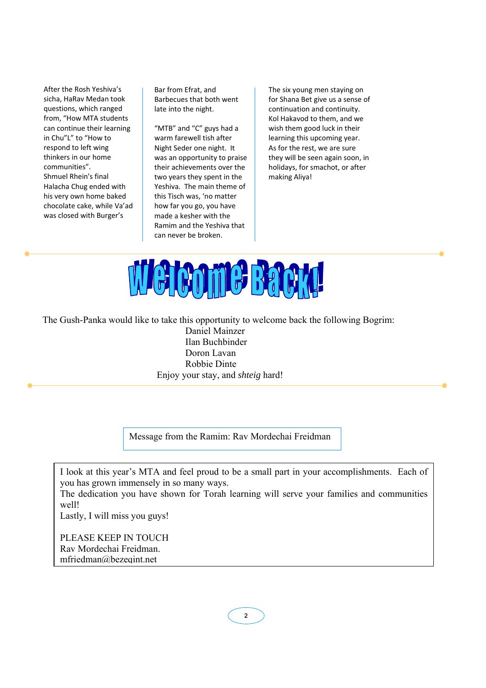After the Rosh Yeshiva's sicha, HaRav Medan took questions, which ranged from, "How MTA students can continue their learning in Chu"L" to "How to respond to left wing thinkers in our home communities". Shmuel Rhein's final Halacha Chug ended with his very own home baked chocolate cake, while Va'ad was closed with Burger's

Bar from Efrat, and Barbecues that both went late into the night.

"MTB" and "C" guys had a warm farewell tish after Night Seder one night. It was an opportunity to praise their achievements over the two years they spent in the Yeshiva. The main theme of this Tisch was, 'no matter how far you go, you have made a kesher with the Ramim and the Yeshiva that can never be broken.

The six young men staying on for Shana Bet give us a sense of continuation and continuity. Kol Hakavod to them, and we wish them good luck in their learning this upcoming year. As for the rest, we are sure they will be seen again soon, in holidays, for smachot, or after making Aliya!



The Gush-Panka would like to take this opportunity to welcome back the following Bogrim:

Daniel Mainzer Ilan Buchbinder Doron Lavan Robbie Dinte Enjoy your stay, and *shteig* hard!

Message from the Ramim: Rav Mordechai Freidman

I look at this year's MTA and feel proud to be a small part in your accomplishments. Each of you has grown immensely in so many ways.

The dedication you have shown for Torah learning will serve your families and communities well!

Lastly, I will miss you guys!

PLEASE KEEP IN TOUCH Rav Mordechai Freidman. mfriedman@bezeqint.net

**2**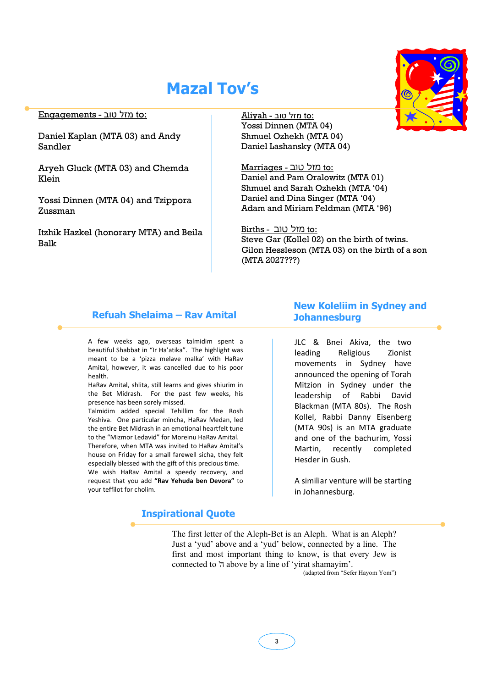# **Mazal Tov's**

#### :to מזל טוב - Engagements

Daniel Kaplan (MTA 03) and Andy Sandler

Aryeh Gluck (MTA 03) and Chemda Klein

Yossi Dinnen (MTA 04) and Tzippora Zussman

Itzhik Hazkel (honorary MTA) and Beila Balk

to: מזל טוב - Aliyah Yossi Dinnen (MTA 04) Shmuel Ozhekh (MTA 04) Daniel Lashansky (MTA 04)

:to מזל טוב - Marriages Daniel and Pam Oralowitz (MTA 01) Shmuel and Sarah Ozhekh (MTA '04) Daniel and Dina Singer (MTA '04) Adam and Miriam Feldman (MTA '96)

to: מזל טוב - Births

Steve Gar (Kollel 02) on the birth of twins. Gilon Hessleson (MTA 03) on the birth of a son (MTA 2027???)

#### **Refuah Shelaima – Rav Amital**

A few weeks ago, overseas talmidim spent a beautiful Shabbat in "Ir Ha'atika". The highlight was meant to be a 'pizza melave malka' with HaRav Amital, however, it was cancelled due to his poor health.

HaRav Amital, shlita, still learns and gives shiurim in the Bet Midrash. For the past few weeks, his presence has been sorely missed.

Talmidim added special Tehillim for the Rosh Yeshiva. One particular mincha, HaRav Medan, led the entire Bet Midrash in an emotional heartfelt tune to the "Mizmor Ledavid" for Moreinu HaRav Amital. Therefore, when MTA was invited to HaRav Amital's house on Friday for a small farewell sicha, they felt especially blessed with the gift of this precious time. We wish HaRav Amital a speedy recovery, and request that you add **"Rav Yehuda ben Devora"** to your teffilot for cholim.

#### **Inspirational Quote**

## **New Koleliim in Sydney and Johannesburg**

JLC & Bnei Akiva, the two leading Religious Zionist movements in Sydney have announced the opening of Torah Mitzion in Sydney under the leadership of Rabbi David Blackman (MTA 80s). The Rosh Kollel, Rabbi Danny Eisenberg (MTA 90s) is an MTA graduate and one of the bachurim, Yossi Martin, recently completed Hesder in Gush.

A similiar venture will be starting in Johannesburg.

The first letter of the Aleph-Bet is an Aleph. What is an Aleph? Just a 'yud' above and a 'yud' below, connected by a line. The first and most important thing to know, is that every Jew is connected to ' $\pi$  above by a line of 'yirat shamayim'.

(adapted from "Sefer Hayom Yom")

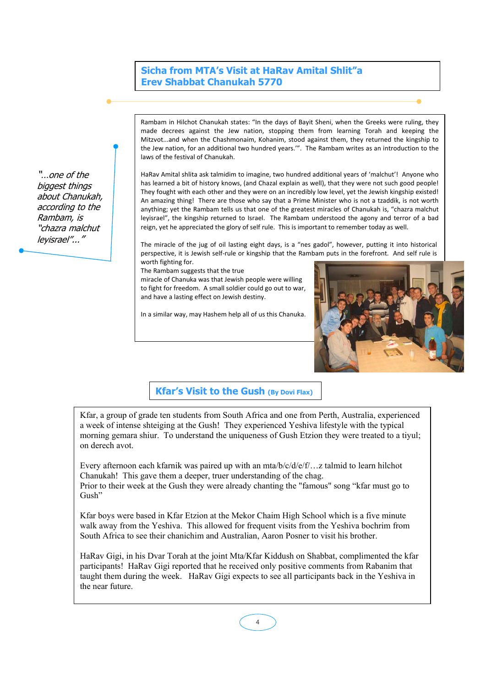#### **Sicha from MTA's Visit at HaRav Amital Shlit"a Erev Shabbat Chanukah 5770**

Rambam in Hilchot Chanukah states: "In the days of Bayit Sheni, when the Greeks were ruling, they made decrees against the Jew nation, stopping them from learning Torah and keeping the Mitzvot...and when the Chashmonaim, Kohanim, stood against them, they returned the kingship to the Jew nation, for an additional two hundred years.'". The Rambam writes as an introduction to the laws of the festival of Chanukah.

HaRav Amital shlita ask talmidim to imagine, two hundred additional years of 'malchut'! Anyone who has learned a bit of history knows, (and Chazal explain as well), that they were not such good people! They fought with each other and they were on an incredibly low level, yet the Jewish kingship existed! An amazing thing! There are those who say that a Prime Minister who is not a tzaddik, is not worth anything; yet the Rambam tells us that one of the greatest miracles of Chanukah is, "chazra malchut leyisrael", the kingship returned to Israel. The Rambam understood the agony and terror of a bad reign, yet he appreciated the glory of self rule. This is important to remember today as well.

The miracle of the jug of oil lasting eight days, is a "nes gadol", however, putting it into historical perspective, it is Jewish self-rule or kingship that the Rambam puts in the forefront. And self rule is worth fighting for.

The Rambam suggests that the true

miracle of Chanuka was that Jewish people were willing to fight for freedom. A small soldier could go out to war, and have a lasting effect on Jewish destiny.

In a similar way, may Hashem help all of us this Chanuka.



#### **Kfar's Visit to the Gush (By Dovi Flax)**

Kfar, a group of grade ten students from South Africa and one from Perth, Australia, experienced a week of intense shteiging at the Gush! They experienced Yeshiva lifestyle with the typical morning gemara shiur. To understand the uniqueness of Gush Etzion they were treated to a tiyul; on derech avot.

Every afternoon each kfarnik was paired up with an mta/b/c/d/e/f/…z talmid to learn hilchot Chanukah! This gave them a deeper, truer understanding of the chag. Prior to their week at the Gush they were already chanting the "famous" song "kfar must go to Gush"

Kfar boys were based in Kfar Etzion at the Mekor Chaim High School which is a five minute walk away from the Yeshiva. This allowed for frequent visits from the Yeshiva bochrim from South Africa to see their chanichim and Australian, Aaron Posner to visit his brother.

HaRav Gigi, in his Dvar Torah at the joint Mta/Kfar Kiddush on Shabbat, complimented the kfar participants! HaRav Gigi reported that he received only positive comments from Rabanim that taught them during the week. HaRav Gigi expects to see all participants back in the Yeshiva in the near future.

"…one of the biggest things about Chanukah, according to the Rambam, is "chazra malchut leyisrael"..."

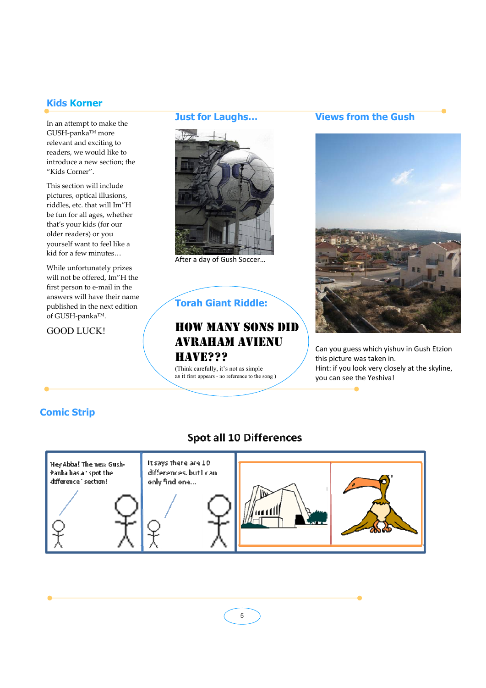## **Kids Korner**

In an attempt to make the GUSH‐panka™ more relevant and exciting to readers, we would like to introduce a new section; the "Kids Corner".

This section will include pictures, optical illusions, riddles, etc. that will Im"H be fun for all ages, whether that's your kids (for our older readers) or you yourself want to feel like a kid for a few minutes…

While unfortunately prizes will not be offered, Im"H the first person to e‐mail in the answers will have their name published in the next edition of GUSH‐panka™.

GOOD LUCK!

#### **Just for Laughs…**



After a day of Gush Soccer…

## **Torah Giant Riddle:**

## HOW MANY SONS DID AVRAHAM AVIENU HAVE???

(Think carefully, it's not as simple as it first appears - no reference to the song )

## **Views from the Gush**



Can you guess which yishuv in Gush Etzion this picture was taken in. Hint: if you look very closely at the skyline, you can see the Yeshiva!

## **Comic Strip**

# It says there are 10 Hey Abba! The new Gushdifferences, but I can Panka has a 'spot the difference section! only find one...

Spot all 10 Differences